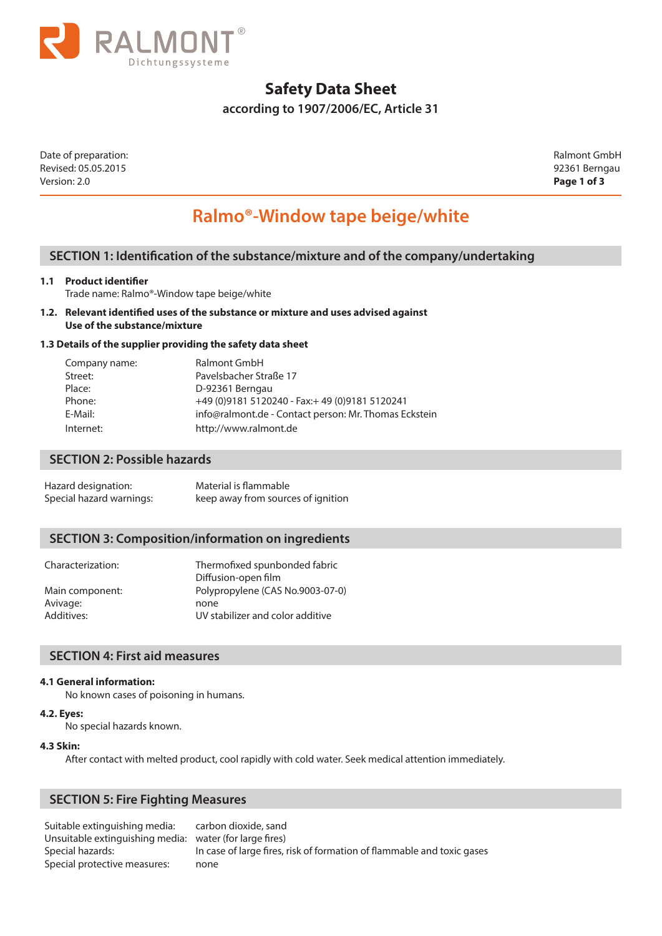

## **Safety Data Sheet**

**according to 1907/2006/EC, Article 31** 

Date of preparation: Ralmont GmbH Revised: 05.05.2015 92361 Berngau Version: 2.0 **Page 1 of 3**

# **Ralmo®-Window tape beige/white**

## **SECTION 1: Identification of the substance/mixture and of the company/undertaking**

#### **1.1 Product identifier**

Trade name: Ralmo®-Window tape beige/white

**1.2. Relevant identified uses of the substance or mixture and uses advised against Use of the substance/mixture**

#### **1.3 Details of the supplier providing the safety data sheet**

| Company name: | Ralmont GmbH                                          |
|---------------|-------------------------------------------------------|
| Street:       | Pavelsbacher Straße 17                                |
| Place:        | D-92361 Berngau                                       |
| Phone:        | +49 (0) 9181 5120240 - Fax: + 49 (0) 9181 5120241     |
| E-Mail:       | info@ralmont.de - Contact person: Mr. Thomas Eckstein |
| Internet:     | http://www.ralmont.de                                 |

## **SECTION 2: Possible hazards**

| Hazard designation:      | Material is flammable              |
|--------------------------|------------------------------------|
| Special hazard warnings: | keep away from sources of ignition |

## **SECTION 3: Composition/information on ingredients**

| Thermofixed spunbonded fabric    |
|----------------------------------|
| Diffusion-open film              |
| Polypropylene (CAS No.9003-07-0) |
| none                             |
| UV stabilizer and color additive |
|                                  |

## **SECTION 4: First aid measures**

#### **4.1 General information:**

No known cases of poisoning in humans.

#### **4.2. Eyes:**

No special hazards known.

#### **4.3 Skin:**

After contact with melted product, cool rapidly with cold water. Seek medical attention immediately.

## **SECTION 5: Fire Fighting Measures**

 Suitable extinguishing media: carbon dioxide, sand Unsuitable extinguishing media: water (for large fires) Special protective measures: none

Special hazards: In case of large fires, risk of formation of flammable and toxic gases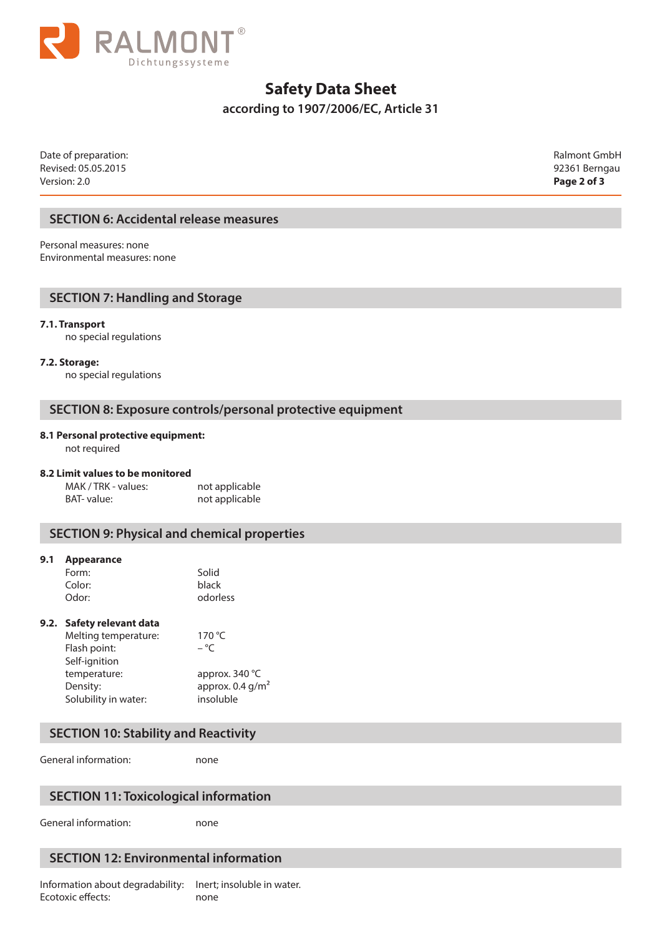

## **Safety Data Sheet**

**according to 1907/2006/EC, Article 31** 

Date of preparation: Ralmont GmbH Revised: 05.05.2015 92361 Berngau Version: 2.0 **Page 2 of 3**

## **SECTION 6: Accidental release measures**

Personal measures: none Environmental measures: none

## **SECTION 7: Handling and Storage**

#### **7.1. Transport**

no special regulations

**7.2. Storage:**

no special regulations

## **SECTION 8: Exposure controls/personal protective equipment**

#### **8.1 Personal protective equipment:**

not required

#### **8.2 Limit values to be monitored**

MAK / TRK - values: not applicable BAT- value: not applicable

## **SECTION 9: Physical and chemical properties**

#### **9.1 Appearance**

| Solid    |
|----------|
| black    |
| odorless |
|          |

#### **9.2. Safety relevant data**

| Melting temperature: | 170 $\degree$ C                |
|----------------------|--------------------------------|
| Flash point:         | $-$ °C                         |
| Self-ignition        |                                |
| temperature:         | approx. $340^{\circ}$ C        |
| Density:             | approx. $0.4$ g/m <sup>2</sup> |
| Solubility in water: | insoluble                      |
|                      |                                |

## **SECTION 10: Stability and Reactivity**

General information: hone

## **SECTION 11: Toxicological information**

General information: none

## **SECTION 12: Environmental information**

Information about degradability: Inert; insoluble in water. Ecotoxic effects: none